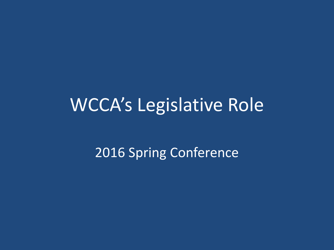# WCCA's Legislative Role

2016 Spring Conference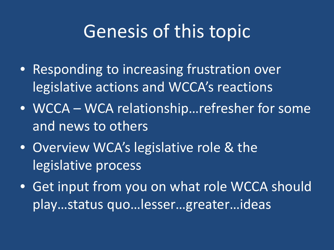## Genesis of this topic

- Responding to increasing frustration over legislative actions and WCCA's reactions
- WCCA WCA relationship... refresher for some and news to others
- Overview WCA's legislative role & the legislative process
- Get input from you on what role WCCA should play…status quo…lesser…greater…ideas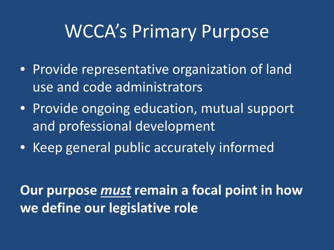### WCCA's Primary Purpose

- Provide representative organization of land use and code administrators
- Provide ongoing education, mutual support and professional development
- Keep general public accurately informed

**Our purpose** *must* **remain a focal point in how we define our legislative role**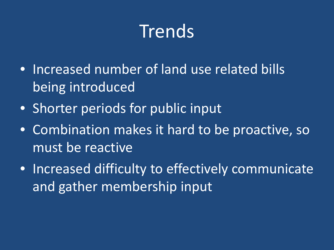# Trends

- Increased number of land use related bills being introduced
- Shorter periods for public input
- Combination makes it hard to be proactive, so must be reactive
- Increased difficulty to effectively communicate and gather membership input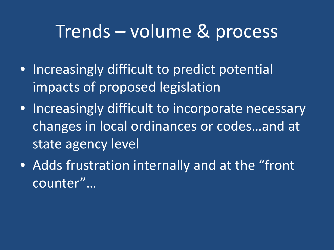#### Trends – volume & process

- Increasingly difficult to predict potential impacts of proposed legislation
- Increasingly difficult to incorporate necessary changes in local ordinances or codes…and at state agency level
- Adds frustration internally and at the "front counter"…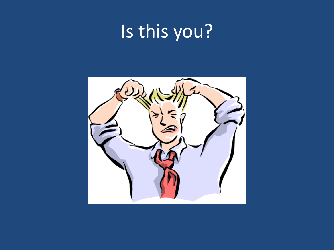# Is this you?

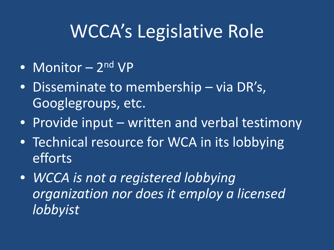# WCCA's Legislative Role

- Monitor 2<sup>nd</sup> VP
- Disseminate to membership via DR's, Googlegroups, etc.
- Provide input written and verbal testimony
- Technical resource for WCA in its lobbying efforts
- *WCCA is not a registered lobbying organization nor does it employ a licensed lobbyist*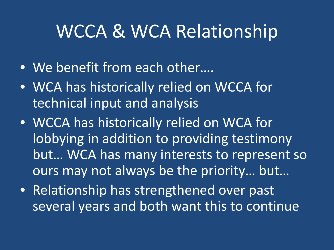### WCCA & WCA Relationship

- We benefit from each other….
- WCA has historically relied on WCCA for technical input and analysis
- WCCA has historically relied on WCA for lobbying in addition to providing testimony but… WCA has many interests to represent so ours may not always be the priority… but…
- Relationship has strengthened over past several years and both want this to continue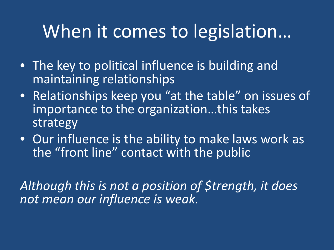## When it comes to legislation…

- The key to political influence is building and maintaining relationships
- Relationships keep you "at the table" on issues of importance to the organization…this takes strategy
- Our influence is the ability to make laws work as the "front line" contact with the public

*Although this is not a position of \$trength, it does not mean our influence is weak.*